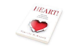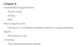Characteristics Engaged Teacher

Positive energy

**Exciting** 

**Effort** 

What is happening 70%

Learning but no emotional connections students are missing extensions

**Majority** 

What adults can see

**Connecting** 

Know interests-teaching to interests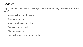Capacity to become more fully engaged? What is something you could start doing more?

Make positive parent contacts

Taking ownership

More parent communication

Reach out for support

Give ourselves grace

Healthy balance of work and family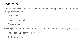What are the typical things we blame for our lack of energy? How does this impact your professional life?

Grad school

Pace have to teach

Overwhelmed

How do you feel like you multitask? Do you feel that it drains more of your energy?

I have gotten better over the years

It totally drains us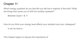Which energy quadrant do you feel like you fall into a majority of the time? What are things that cause you to drift into another quadrant?

Between Quad 1 & 11

How do you think your energy level affects your students and your colleagues? It can be have a

This chapter begins to discuss the importance of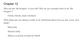Who are the "life bringers" in your life? Why do you consider them to be "life bringers"?

Family, friends, team members

What steps are you taking in order to be intentional about how you eat, move, and sleep?

Meal prep

Workout daily

Sleep is a priority at least for Roloff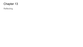Reflecting